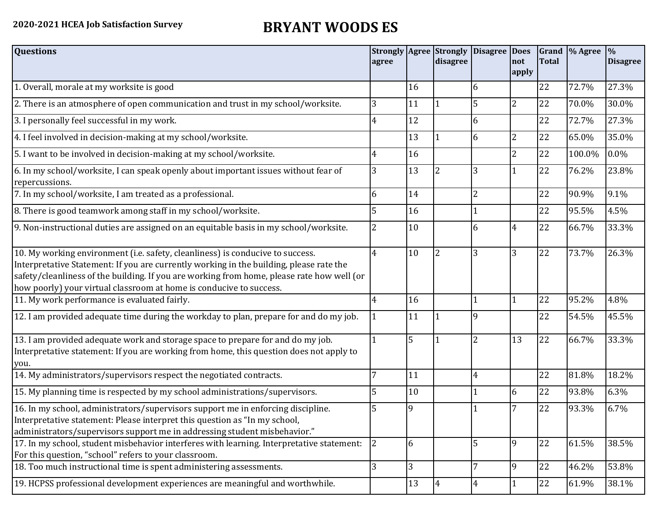## **2020-2021 HCEA Job Satisfaction Survey BRYANT WOODS ES**

| <b>Questions</b>                                                                                                                                                                                                                                                                                                                               | agree |    | <b>Strongly Agree Strongly</b><br>disagree | Disagree Does  | Inot<br>apply  | Total | Grand \% Agree | $\frac{9}{6}$<br><b>Disagree</b> |
|------------------------------------------------------------------------------------------------------------------------------------------------------------------------------------------------------------------------------------------------------------------------------------------------------------------------------------------------|-------|----|--------------------------------------------|----------------|----------------|-------|----------------|----------------------------------|
| 1. Overall, morale at my worksite is good                                                                                                                                                                                                                                                                                                      |       | 16 |                                            | 6              |                | 22    | 72.7%          | 27.3%                            |
| 2. There is an atmosphere of open communication and trust in my school/worksite.                                                                                                                                                                                                                                                               | 3     | 11 |                                            | 5              | $\overline{2}$ | 22    | 70.0%          | 30.0%                            |
| 3. I personally feel successful in my work.                                                                                                                                                                                                                                                                                                    | 4     | 12 |                                            | 6              |                | 22    | 72.7%          | 27.3%                            |
| 4. I feel involved in decision-making at my school/worksite.                                                                                                                                                                                                                                                                                   |       | 13 |                                            | 6              | 2              | 22    | 65.0%          | 35.0%                            |
| 5. I want to be involved in decision-making at my school/worksite.                                                                                                                                                                                                                                                                             | 4     | 16 |                                            |                | $\overline{2}$ | 22    | 100.0%         | $0.0\%$                          |
| 6. In my school/worksite, I can speak openly about important issues without fear of<br>repercussions.                                                                                                                                                                                                                                          | 3     | 13 | $\overline{2}$                             | 3              |                | 22    | 76.2%          | 23.8%                            |
| 7. In my school/worksite, I am treated as a professional.                                                                                                                                                                                                                                                                                      | 6     | 14 |                                            | $\overline{2}$ |                | 22    | 90.9%          | 9.1%                             |
| 8. There is good teamwork among staff in my school/worksite.                                                                                                                                                                                                                                                                                   |       | 16 |                                            |                |                | 22    | 95.5%          | 4.5%                             |
| 9. Non-instructional duties are assigned on an equitable basis in my school/worksite.                                                                                                                                                                                                                                                          | 2     | 10 |                                            | 6              | 4              | 22    | 66.7%          | 33.3%                            |
| 10. My working environment (i.e. safety, cleanliness) is conducive to success.<br>Interpretative Statement: If you are currently working in the building, please rate the<br>safety/cleanliness of the building. If you are working from home, please rate how well (or<br>how poorly) your virtual classroom at home is conducive to success. | 4     | 10 | $\overline{2}$                             | 3              | 3              | 22    | 73.7%          | 26.3%                            |
| 11. My work performance is evaluated fairly.                                                                                                                                                                                                                                                                                                   | 4     | 16 |                                            |                |                | 22    | 95.2%          | 4.8%                             |
| 12. I am provided adequate time during the workday to plan, prepare for and do my job.                                                                                                                                                                                                                                                         |       | 11 |                                            | q              |                | 22    | 54.5%          | 45.5%                            |
| 13. I am provided adequate work and storage space to prepare for and do my job.<br>Interpretative statement: If you are working from home, this question does not apply to<br>you.                                                                                                                                                             |       | 5  |                                            | $\overline{2}$ | 13             | 22    | 66.7%          | 33.3%                            |
| 14. My administrators/supervisors respect the negotiated contracts.                                                                                                                                                                                                                                                                            |       | 11 |                                            | $\overline{4}$ |                | 22    | 81.8%          | 18.2%                            |
| 15. My planning time is respected by my school administrations/supervisors.                                                                                                                                                                                                                                                                    |       | 10 |                                            |                | 6              | 22    | 93.8%          | 6.3%                             |
| 16. In my school, administrators/supervisors support me in enforcing discipline.<br>Interpretative statement: Please interpret this question as "In my school,<br>administrators/supervisors support me in addressing student misbehavior."                                                                                                    | 5     | 9  |                                            |                | 7              | 22    | 93.3%          | 6.7%                             |
| 17. In my school, student misbehavior interferes with learning. Interpretative statement:<br>For this question, "school" refers to your classroom.                                                                                                                                                                                             | 2     | 6  |                                            | 5              | 9              | 22    | 61.5%          | 38.5%                            |
| 18. Too much instructional time is spent administering assessments.                                                                                                                                                                                                                                                                            | 3     | 3  |                                            |                | $\mathbf{q}$   | 22    | 46.2%          | 53.8%                            |
| 19. HCPSS professional development experiences are meaningful and worthwhile.                                                                                                                                                                                                                                                                  |       | 13 | $\overline{4}$                             | $\overline{4}$ |                | 22    | 61.9%          | 38.1%                            |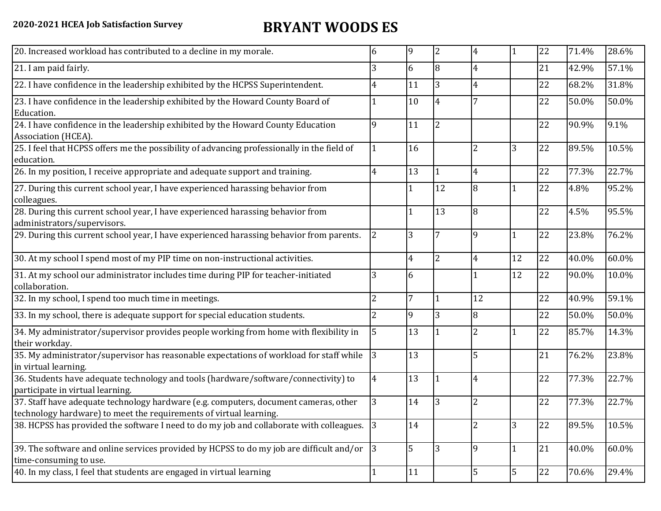## **2020-2021 HCEA Job Satisfaction Survey BRYANT WOODS ES**

| 20. Increased workload has contributed to a decline in my morale.                                                                                          | 6              | $\overline{9}$ | $\overline{2}$ | $\overline{4}$ |              | 22 | 71.4% | 28.6% |
|------------------------------------------------------------------------------------------------------------------------------------------------------------|----------------|----------------|----------------|----------------|--------------|----|-------|-------|
| 21. I am paid fairly.                                                                                                                                      | 3              | 6              | 8              | 4              |              | 21 | 42.9% | 57.1% |
| 22. I have confidence in the leadership exhibited by the HCPSS Superintendent.                                                                             | 4              | 11             | $\overline{3}$ | $\overline{4}$ |              | 22 | 68.2% | 31.8% |
| 23. I have confidence in the leadership exhibited by the Howard County Board of<br>Education.                                                              |                | 10             | $\overline{4}$ |                |              | 22 | 50.0% | 50.0% |
| 24. I have confidence in the leadership exhibited by the Howard County Education<br>Association (HCEA).                                                    | 9              | 11             | $\overline{2}$ |                |              | 22 | 90.9% | 9.1%  |
| 25. I feel that HCPSS offers me the possibility of advancing professionally in the field of<br>education.                                                  |                | 16             |                | 2              | 3            | 22 | 89.5% | 10.5% |
| 26. In my position, I receive appropriate and adequate support and training.                                                                               | 4              | 13             |                | 4              |              | 22 | 77.3% | 22.7% |
| 27. During this current school year, I have experienced harassing behavior from<br>colleagues.                                                             |                |                | 12             | 8              |              | 22 | 4.8%  | 95.2% |
| 28. During this current school year, I have experienced harassing behavior from<br>administrators/supervisors.                                             |                |                | 13             | 8              |              | 22 | 4.5%  | 95.5% |
| 29. During this current school year, I have experienced harassing behavior from parents.                                                                   | $\overline{2}$ | 3              |                | 9              |              | 22 | 23.8% | 76.2% |
| 30. At my school I spend most of my PIP time on non-instructional activities.                                                                              |                | 4              | $\overline{2}$ | 4              | 12           | 22 | 40.0% | 60.0% |
| 31. At my school our administrator includes time during PIP for teacher-initiated<br>collaboration.                                                        | 3              | 6              |                |                | 12           | 22 | 90.0% | 10.0% |
| 32. In my school, I spend too much time in meetings.                                                                                                       | $\overline{2}$ | 7              | l 1            | 12             |              | 22 | 40.9% | 59.1% |
| 33. In my school, there is adequate support for special education students.                                                                                | $\overline{2}$ | 9              | 3              | 8              |              | 22 | 50.0% | 50.0% |
| 34. My administrator/supervisor provides people working from home with flexibility in<br>their workday.                                                    | 5              | 13             |                | 2              |              | 22 | 85.7% | 14.3% |
| 35. My administrator/supervisor has reasonable expectations of workload for staff while<br>in virtual learning.                                            | 3              | 13             |                | 5              |              | 21 | 76.2% | 23.8% |
| 36. Students have adequate technology and tools (hardware/software/connectivity) to<br>participate in virtual learning.                                    | 4              | 13             |                | 4              |              | 22 | 77.3% | 22.7% |
| 37. Staff have adequate technology hardware (e.g. computers, document cameras, other<br>technology hardware) to meet the requirements of virtual learning. | 3              | 14             |                | 2              |              | 22 | 77.3% | 22.7% |
| 38. HCPSS has provided the software I need to do my job and collaborate with colleagues. 3                                                                 |                | 14             |                | 2              | 3            | 22 | 89.5% | 10.5% |
| 39. The software and online services provided by HCPSS to do my job are difficult and/or<br>time-consuming to use.                                         | $ 3\rangle$    | 5              | 3              | 9              | $\mathbf{1}$ | 21 | 40.0% | 60.0% |
| 40. In my class, I feel that students are engaged in virtual learning                                                                                      |                | 11             |                | 5              | 5            | 22 | 70.6% | 29.4% |